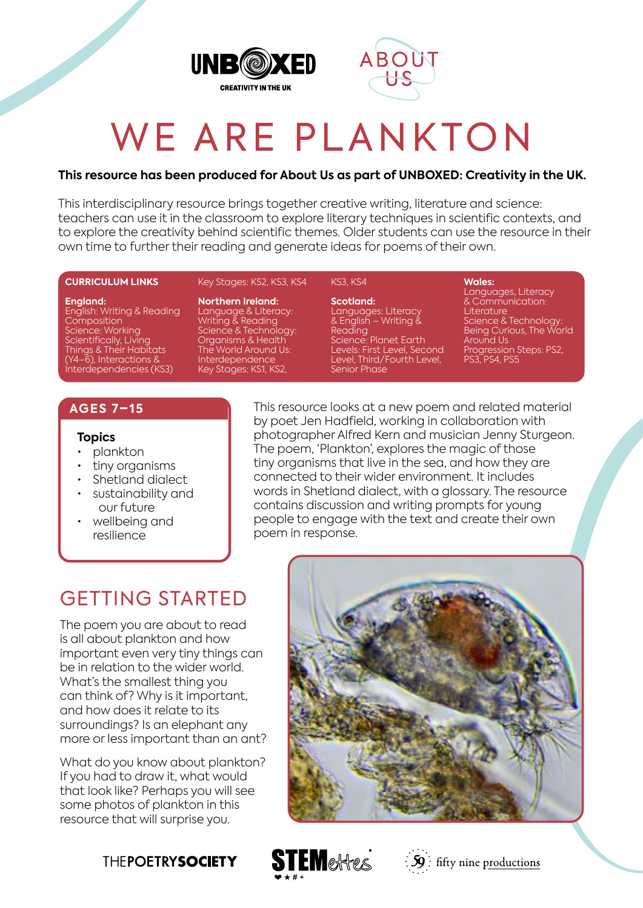



# WE ARE PLANKTON

#### **This resource has been produced for About Us as part of UNBOXED: Creativity in the UK.**

This interdisciplinary resource brings together creative writing, literature and science: teachers can use it in the classroom to explore literary techniques in scientific contexts, and to explore the creativity behind scientific themes. Older students can use the resource in their own time to further their reading and generate ideas for poems of their own.

#### **CURRICULUM LINKS**

#### **England:**

English: Writing & Reading **Composition** Science: Working Scientifically, Living Things & Their Habitats (Y4–6), Interactions & Interdependencies (KS3)

Key Stages: KS2, KS3, KS4

**Northern Ireland:** Language & Literacy: Writing & Reading Science & Technology: Organisms & Health The World Around Us: Interdependence Key Stages: KS1, KS2,

#### KS3, KS4

**Scotland:** Languages: Literacy & English – Writing & Reading Science: Planet Earth Levels: First Level, Second Level, Third/Fourth Level, Senior Phase

**Wales:** Languages, Literacy & Communication: Literature Science & Technology: Being Curious, The World Around Us Progression Steps: PS2, PS3, PS4, PS5

### **AGES 7–15**

#### **Topics**

- plankton
- tiny organisms
- Shetland dialect
- sustainability and our future
- wellbeing and resilience

This resource looks at a new poem and related material by poet Jen Hadfield, working in collaboration with photographer Alfred Kern and musician Jenny Sturgeon. The poem, 'Plankton', explores the magic of those tiny organisms that live in the sea, and how they are connected to their wider environment. It includes words in Shetland dialect, with a glossary. The resource contains discussion and writing prompts for young people to engage with the text and create their own poem in response.

## GETTING STARTED

The poem you are about to read is all about plankton and how important even very tiny things can be in relation to the wider world. What's the smallest thing you can think of? Why is it important, and how does it relate to its surroundings? Is an elephant any more or less important than an ant?

What do you know about plankton? If you had to draw it, what would that look like? Perhaps you will see some photos of plankton in this resource that will surprise you.







 $\frac{1}{2}\mathbf{S}$ : fifty nine productions

### **THEPOETRYSOCIETY**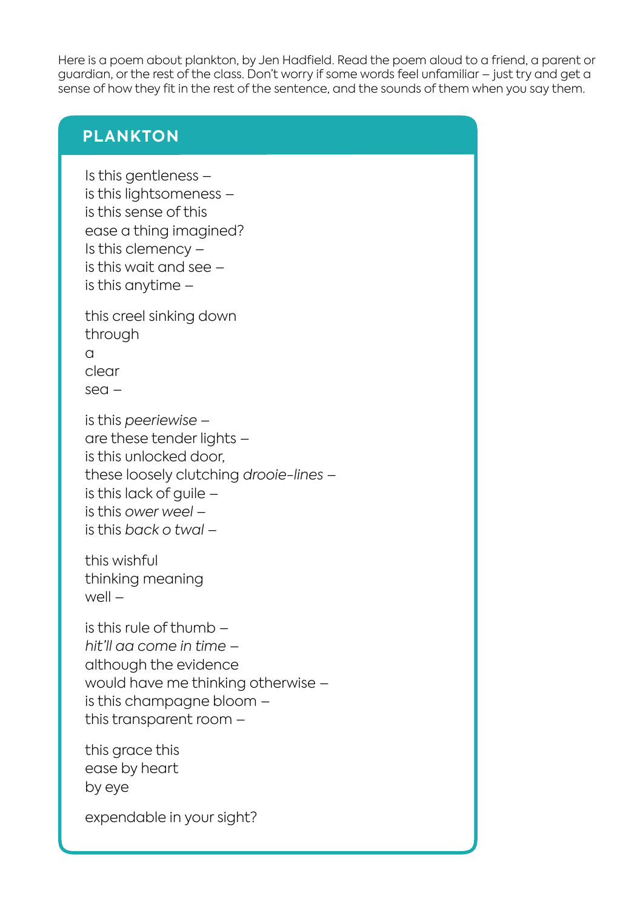Here is a poem about plankton, by Jen Hadfield. Read the poem aloud to a friend, a parent or guardian, or the rest of the class. Don't worry if some words feel unfamiliar – just try and get a sense of how they fit in the rest of the sentence, and the sounds of them when you say them.

### **PLANKTON**

Is this gentleness – is this lightsomeness – is this sense of this ease a thing imagined? Is this clemency – is this wait and see – is this anytime –

this creel sinking down through a clear sea –

is this *peeriewise* – are these tender lights – is this unlocked door, these loosely clutching *drooie-lines* – is this lack of quile  $$ is this *ower weel* – is this *back o twal* –

this wishful thinking meaning  $w$ ell –

is this rule of thumb – *hit'll aa come in time –* although the evidence would have me thinking otherwise – is this champagne bloom – this transparent room –

this grace this ease by heart by eye

expendable in your sight?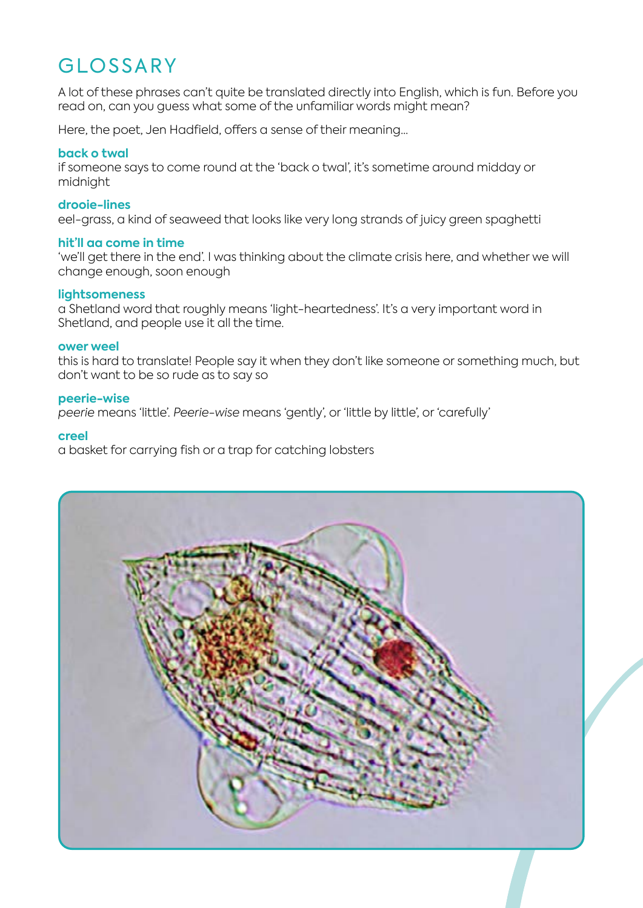# GLOSSARY

A lot of these phrases can't quite be translated directly into English, which is fun. Before you read on, can you guess what some of the unfamiliar words might mean?

Here, the poet, Jen Hadfield, offers a sense of their meaning…

#### **back o twal**

if someone says to come round at the 'back o twal', it's sometime around midday or midnight

#### **drooie-lines**

eel-grass, a kind of seaweed that looks like very long strands of juicy green spaghetti

#### **hit'll aa come in time**

'we'll get there in the end'. I was thinking about the climate crisis here, and whether we will change enough, soon enough

#### **lightsomeness**

a Shetland word that roughly means 'light-heartedness'. It's a very important word in Shetland, and people use it all the time.

#### **ower weel**

this is hard to translate! People say it when they don't like someone or something much, but don't want to be so rude as to say so

#### **peerie-wise**

*peerie* means 'little'. *Peerie-wise* means 'gently', or 'little by little', or 'carefully'

#### **creel**

a basket for carrying fish or a trap for catching lobsters

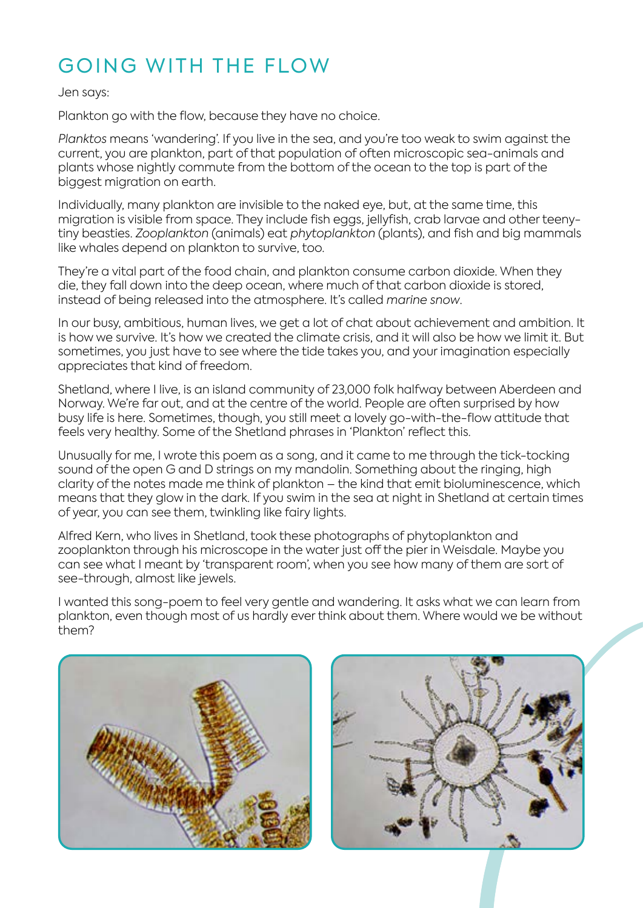# GOING WITH THE FLOW

#### Jen says:

Plankton go with the flow, because they have no choice.

*Planktos* means 'wandering'. If you live in the sea, and you're too weak to swim against the current, you are plankton, part of that population of often microscopic sea-animals and plants whose nightly commute from the bottom of the ocean to the top is part of the biggest migration on earth.

Individually, many plankton are invisible to the naked eye, but, at the same time, this migration is visible from space. They include fish eggs, jellyfish, crab larvae and other teenytiny beasties. *Zooplankton* (animals) eat *phytoplankton* (plants), and fish and big mammals like whales depend on plankton to survive, too.

They're a vital part of the food chain, and plankton consume carbon dioxide. When they die, they fall down into the deep ocean, where much of that carbon dioxide is stored, instead of being released into the atmosphere. It's called *marine snow*.

In our busy, ambitious, human lives, we get a lot of chat about achievement and ambition. It is how we survive. It's how we created the climate crisis, and it will also be how we limit it. But sometimes, you just have to see where the tide takes you, and your imagination especially appreciates that kind of freedom.

Shetland, where I live, is an island community of 23,000 folk halfway between Aberdeen and Norway. We're far out, and at the centre of the world. People are often surprised by how busy life is here. Sometimes, though, you still meet a lovely go-with-the-flow attitude that feels very healthy. Some of the Shetland phrases in 'Plankton' reflect this.

Unusually for me, I wrote this poem as a song, and it came to me through the tick-tocking sound of the open G and D strings on my mandolin. Something about the ringing, high clarity of the notes made me think of plankton – the kind that emit bioluminescence, which means that they glow in the dark. If you swim in the sea at night in Shetland at certain times of year, you can see them, twinkling like fairy lights.

Alfred Kern, who lives in Shetland, took these photographs of phytoplankton and zooplankton through his microscope in the water just off the pier in Weisdale. Maybe you can see what I meant by 'transparent room', when you see how many of them are sort of see-through, almost like jewels.

I wanted this song-poem to feel very gentle and wandering. It asks what we can learn from plankton, even though most of us hardly ever think about them. Where would we be without them?



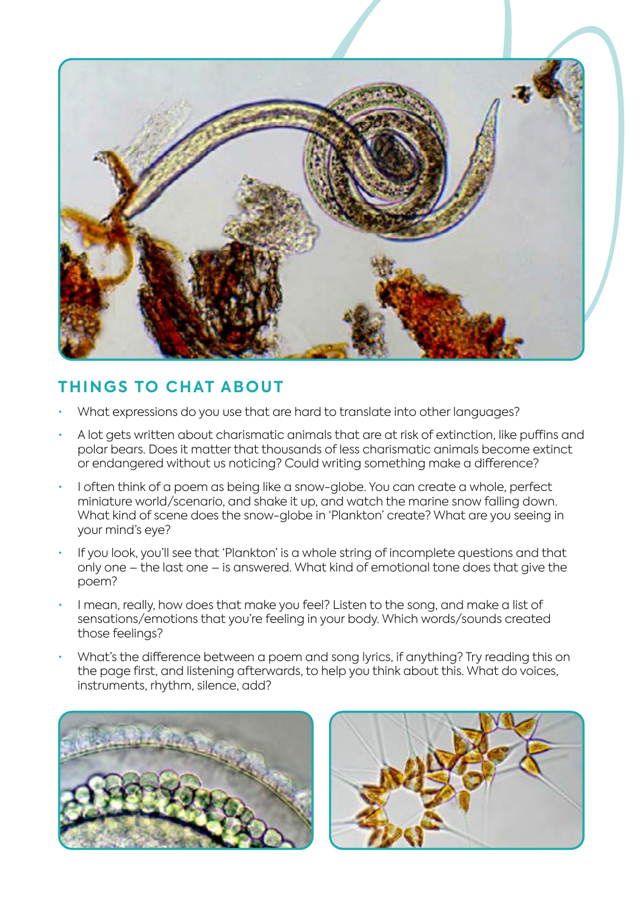

### **THINGS TO CHAT ABOUT**

- What expressions do you use that are hard to translate into other languages?
- A lot gets written about charismatic animals that are at risk of extinction, like puffins and polar bears. Does it matter that thousands of less charismatic animals become extinct or endangered without us noticing? Could writing something make a difference?
- I often think of a poem as being like a snow-globe. You can create a whole, perfect miniature world/scenario, and shake it up, and watch the marine snow falling down. What kind of scene does the snow-globe in 'Plankton' create? What are you seeing in your mind's eye?
- If you look, you'll see that 'Plankton' is a whole string of incomplete questions and that only one – the last one – is answered. What kind of emotional tone does that give the poem?
- I mean, really, how does that make you feel? Listen to the song, and make a list of sensations/emotions that you're feeling in your body. Which words/sounds created those feelings?
- What's the difference between a poem and song lyrics, if anything? Try reading this on the page first, and listening afterwards, to help you think about this. What do voices, instruments, rhythm, silence, add?